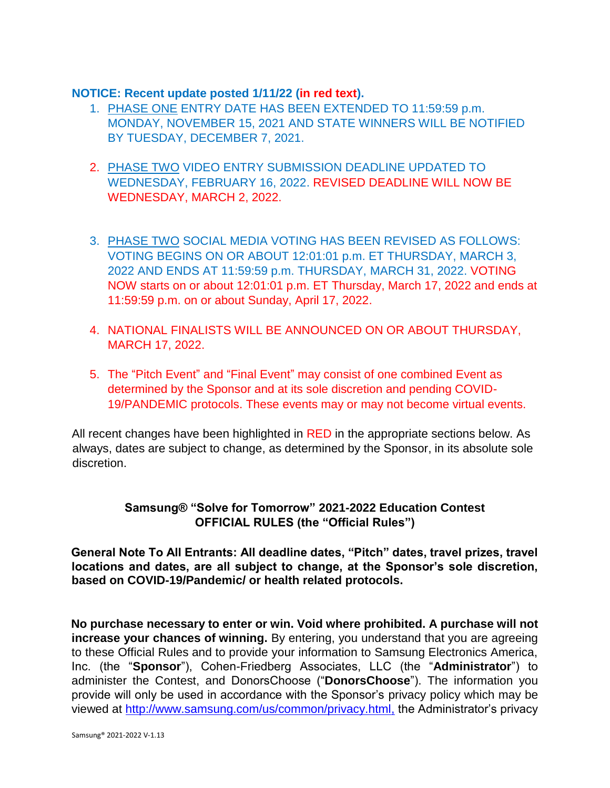#### **NOTICE: Recent update posted 1/11/22 (in red text).**

- 1. PHASE ONE ENTRY DATE HAS BEEN EXTENDED TO 11:59:59 p.m. MONDAY, NOVEMBER 15, 2021 AND STATE WINNERS WILL BE NOTIFIED BY TUESDAY, DECEMBER 7, 2021.
- 2. PHASE TWO VIDEO ENTRY SUBMISSION DEADLINE UPDATED TO WEDNESDAY, FEBRUARY 16, 2022. REVISED DEADLINE WILL NOW BE WEDNESDAY, MARCH 2, 2022.
- 3. PHASE TWO SOCIAL MEDIA VOTING HAS BEEN REVISED AS FOLLOWS: VOTING BEGINS ON OR ABOUT 12:01:01 p.m. ET THURSDAY, MARCH 3, 2022 AND ENDS AT 11:59:59 p.m. THURSDAY, MARCH 31, 2022. VOTING NOW starts on or about 12:01:01 p.m. ET Thursday, March 17, 2022 and ends at 11:59:59 p.m. on or about Sunday, April 17, 2022.
- 4. NATIONAL FINALISTS WILL BE ANNOUNCED ON OR ABOUT THURSDAY, MARCH 17, 2022.
- 5. The "Pitch Event" and "Final Event" may consist of one combined Event as determined by the Sponsor and at its sole discretion and pending COVID-19/PANDEMIC protocols. These events may or may not become virtual events.

All recent changes have been highlighted in RED in the appropriate sections below. As always, dates are subject to change, as determined by the Sponsor, in its absolute sole discretion.

# **Samsung® "Solve for Tomorrow" 2021-2022 Education Contest OFFICIAL RULES (the "Official Rules")**

**General Note To All Entrants: All deadline dates, "Pitch" dates, travel prizes, travel locations and dates, are all subject to change, at the Sponsor's sole discretion, based on COVID-19/Pandemic/ or health related protocols.** 

**No purchase necessary to enter or win. Void where prohibited. A purchase will not increase your chances of winning.** By entering, you understand that you are agreeing to these Official Rules and to provide your information to Samsung Electronics America, Inc. (the "**Sponsor**"), Cohen-Friedberg Associates, LLC (the "**Administrator**") to administer the Contest, and DonorsChoose ("**DonorsChoose**"). The information you provide will only be used in accordance with the Sponsor's privacy policy which may be viewed at [http://www.samsung.com/us/common/privacy.html,](http://www.samsung.com/us/common/privacy.html) [t](http://www.samsung.com/us/common/privacy.html)he Administrator's privacy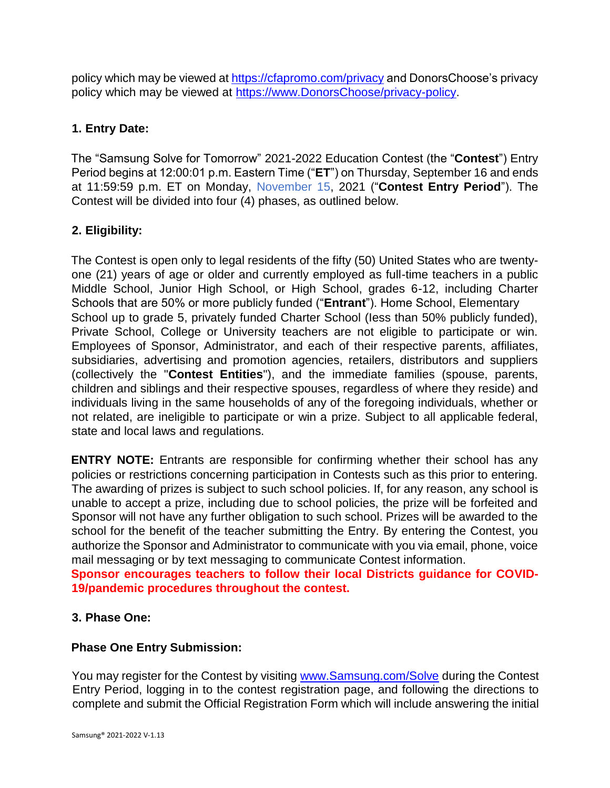policy which may be viewed at<https://cfapromo.com/privacy> [a](https://cfapromo.com/privacy)nd DonorsChoose's privacy policy which may be viewed at [https://www.DonorsChoose/privacy-policy.](https://www.donorschoose.org/privacy-policy)

## **1. Entry Date:**

The "Samsung Solve for Tomorrow" 2021-2022 Education Contest (the "**Contest**") Entry Period begins at 12:00:01 p.m. Eastern Time ("**ET**") on Thursday, September 16 and ends at 11:59:59 p.m. ET on Monday, November 15, 2021 ("**Contest Entry Period**"). The Contest will be divided into four (4) phases, as outlined below.

## **2. Eligibility:**

The Contest is open only to legal residents of the fifty (50) United States who are twentyone (21) years of age or older and currently employed as full-time teachers in a public Middle School, Junior High School, or High School, grades 6-12, including Charter Schools that are 50% or more publicly funded ("**Entrant**"). Home School, Elementary School up to grade 5, privately funded Charter School (Iess than 50% publicly funded), Private School, College or University teachers are not eligible to participate or win. Employees of Sponsor, Administrator, and each of their respective parents, affiliates, subsidiaries, advertising and promotion agencies, retailers, distributors and suppliers (collectively the "**Contest Entities**"), and the immediate families (spouse, parents, children and siblings and their respective spouses, regardless of where they reside) and individuals living in the same households of any of the foregoing individuals, whether or not related, are ineligible to participate or win a prize. Subject to all applicable federal, state and local laws and regulations.

**ENTRY NOTE:** Entrants are responsible for confirming whether their school has any policies or restrictions concerning participation in Contests such as this prior to entering. The awarding of prizes is subject to such school policies. If, for any reason, any school is unable to accept a prize, including due to school policies, the prize will be forfeited and Sponsor will not have any further obligation to such school. Prizes will be awarded to the school for the benefit of the teacher submitting the Entry. By entering the Contest, you authorize the Sponsor and Administrator to communicate with you via email, phone, voice mail messaging or by text messaging to communicate Contest information.

**Sponsor encourages teachers to follow their local Districts guidance for COVID-19/pandemic procedures throughout the contest.**

## **3. Phase One:**

#### **Phase One Entry Submission:**

You may register for the Contest by visiting [www.Samsung.com/Solve](http://www.samsung.com/SolveforTomorrow) [d](http://www.samsung.com/SolveforTomorrow)uring the Contest Entry Period, logging in to the contest registration page, and following the directions to complete and submit the Official Registration Form which will include answering the initial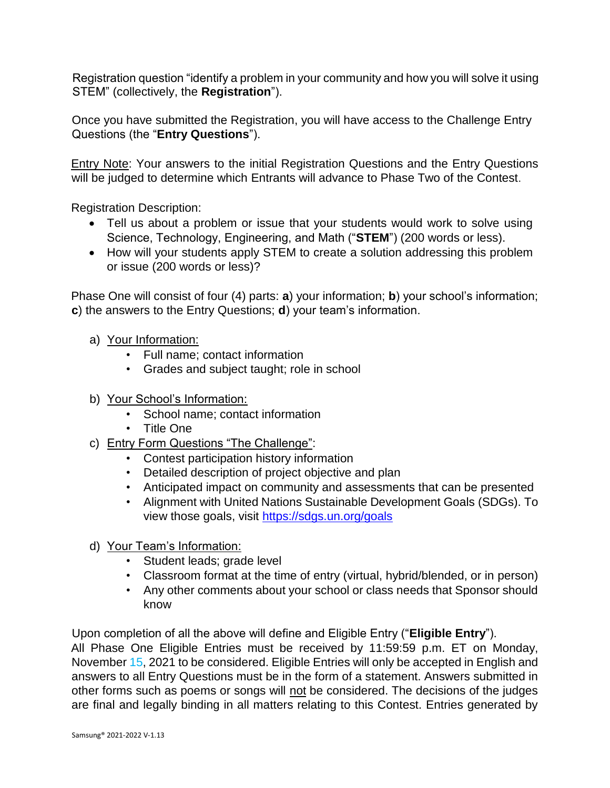Registration question "identify a problem in your community and how you will solve it using STEM" (collectively, the **Registration**").

Once you have submitted the Registration, you will have access to the Challenge Entry Questions (the "**Entry Questions**").

Entry Note: Your answers to the initial Registration Questions and the Entry Questions will be judged to determine which Entrants will advance to Phase Two of the Contest.

Registration Description:

- Tell us about a problem or issue that your students would work to solve using Science, Technology, Engineering, and Math ("**STEM**") (200 words or less).
- How will your students apply STEM to create a solution addressing this problem or issue (200 words or less)?

Phase One will consist of four (4) parts: **a**) your information; **b**) your school's information; **c**) the answers to the Entry Questions; **d**) your team's information.

- a) Your Information:
	- Full name; contact information
	- Grades and subject taught; role in school
- b) Your School's Information:
	- School name; contact information
	- Title One
- c) Entry Form Questions "The Challenge":
	- Contest participation history information
	- Detailed description of project objective and plan
	- Anticipated impact on community and assessments that can be presented
	- Alignment with United Nations Sustainable Development Goals (SDGs). To view those goals, visit<https://sdgs.un.org/goals>
- d) Your Team's Information:
	- Student leads; grade level
	- Classroom format at the time of entry (virtual, hybrid/blended, or in person)
	- Any other comments about your school or class needs that Sponsor should know

Upon completion of all the above will define and Eligible Entry ("**Eligible Entry**").

All Phase One Eligible Entries must be received by 11:59:59 p.m. ET on Monday, November 15, 2021 to be considered. Eligible Entries will only be accepted in English and answers to all Entry Questions must be in the form of a statement. Answers submitted in other forms such as poems or songs will not be considered. The decisions of the judges are final and legally binding in all matters relating to this Contest. Entries generated by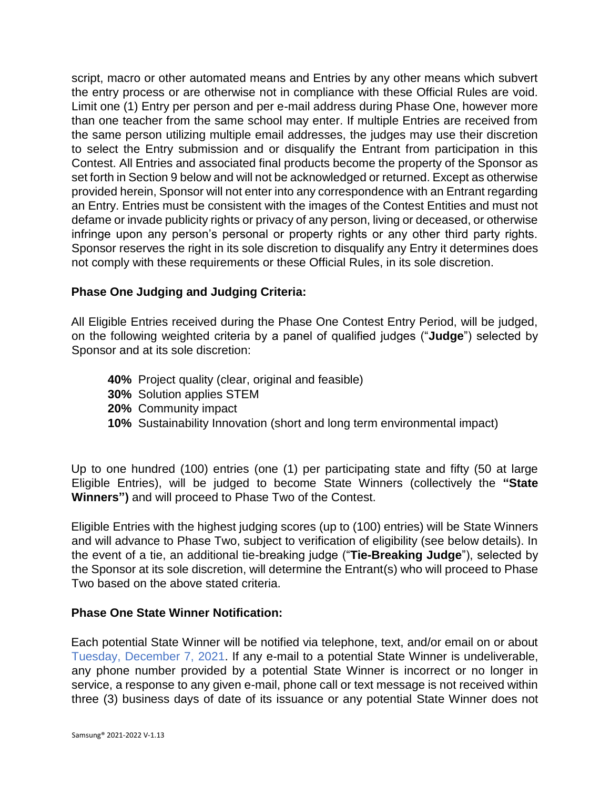script, macro or other automated means and Entries by any other means which subvert the entry process or are otherwise not in compliance with these Official Rules are void. Limit one (1) Entry per person and per e-mail address during Phase One, however more than one teacher from the same school may enter. If multiple Entries are received from the same person utilizing multiple email addresses, the judges may use their discretion to select the Entry submission and or disqualify the Entrant from participation in this Contest. All Entries and associated final products become the property of the Sponsor as set forth in Section 9 below and will not be acknowledged or returned. Except as otherwise provided herein, Sponsor will not enter into any correspondence with an Entrant regarding an Entry. Entries must be consistent with the images of the Contest Entities and must not defame or invade publicity rights or privacy of any person, living or deceased, or otherwise infringe upon any person's personal or property rights or any other third party rights. Sponsor reserves the right in its sole discretion to disqualify any Entry it determines does not comply with these requirements or these Official Rules, in its sole discretion.

#### **Phase One Judging and Judging Criteria:**

All Eligible Entries received during the Phase One Contest Entry Period, will be judged, on the following weighted criteria by a panel of qualified judges ("**Judge**") selected by Sponsor and at its sole discretion:

- **40%** Project quality (clear, original and feasible)
- **30%** Solution applies STEM
- **20%** Community impact
- **10%** Sustainability Innovation (short and long term environmental impact)

Up to one hundred (100) entries (one (1) per participating state and fifty (50 at large Eligible Entries), will be judged to become State Winners (collectively the **"State Winners")** and will proceed to Phase Two of the Contest.

Eligible Entries with the highest judging scores (up to (100) entries) will be State Winners and will advance to Phase Two, subject to verification of eligibility (see below details). In the event of a tie, an additional tie-breaking judge ("**Tie-Breaking Judge**"), selected by the Sponsor at its sole discretion, will determine the Entrant(s) who will proceed to Phase Two based on the above stated criteria.

#### **Phase One State Winner Notification:**

Each potential State Winner will be notified via telephone, text, and/or email on or about Tuesday, December 7, 2021. If any e-mail to a potential State Winner is undeliverable, any phone number provided by a potential State Winner is incorrect or no longer in service, a response to any given e-mail, phone call or text message is not received within three (3) business days of date of its issuance or any potential State Winner does not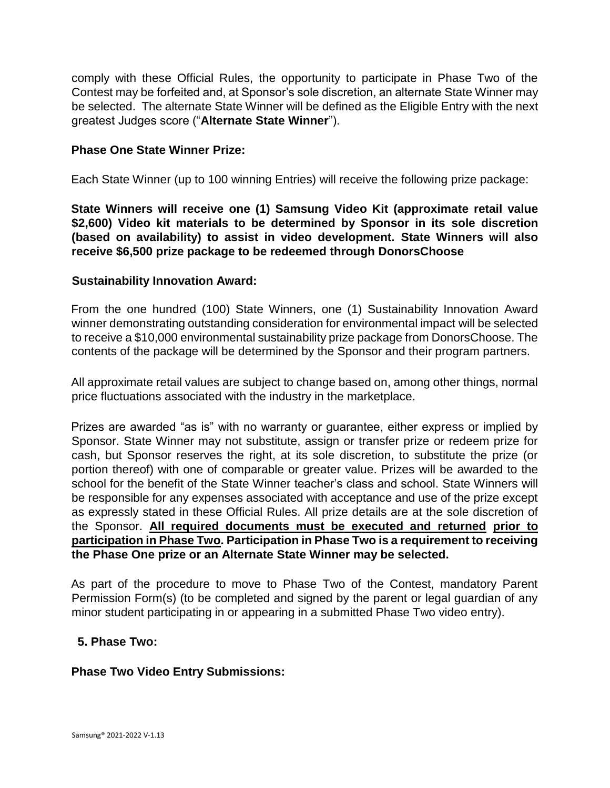comply with these Official Rules, the opportunity to participate in Phase Two of the Contest may be forfeited and, at Sponsor's sole discretion, an alternate State Winner may be selected. The alternate State Winner will be defined as the Eligible Entry with the next greatest Judges score ("**Alternate State Winner**").

#### **Phase One State Winner Prize:**

Each State Winner (up to 100 winning Entries) will receive the following prize package:

**State Winners will receive one (1) Samsung Video Kit (approximate retail value \$2,600) Video kit materials to be determined by Sponsor in its sole discretion (based on availability) to assist in video development. State Winners will also receive \$6,500 prize package to be redeemed through DonorsChoose**

#### **Sustainability Innovation Award:**

From the one hundred (100) State Winners, one (1) Sustainability Innovation Award winner demonstrating outstanding consideration for environmental impact will be selected to receive a \$10,000 environmental sustainability prize package from DonorsChoose. The contents of the package will be determined by the Sponsor and their program partners.

All approximate retail values are subject to change based on, among other things, normal price fluctuations associated with the industry in the marketplace.

Prizes are awarded "as is" with no warranty or guarantee, either express or implied by Sponsor. State Winner may not substitute, assign or transfer prize or redeem prize for cash, but Sponsor reserves the right, at its sole discretion, to substitute the prize (or portion thereof) with one of comparable or greater value. Prizes will be awarded to the school for the benefit of the State Winner teacher's class and school. State Winners will be responsible for any expenses associated with acceptance and use of the prize except as expressly stated in these Official Rules. All prize details are at the sole discretion of the Sponsor. **All required documents must be executed and returned prior to participation in Phase Two. Participation in Phase Two is a requirement to receiving the Phase One prize or an Alternate State Winner may be selected.**

As part of the procedure to move to Phase Two of the Contest, mandatory Parent Permission Form(s) (to be completed and signed by the parent or legal guardian of any minor student participating in or appearing in a submitted Phase Two video entry).

#### **5. Phase Two:**

#### **Phase Two Video Entry Submissions:**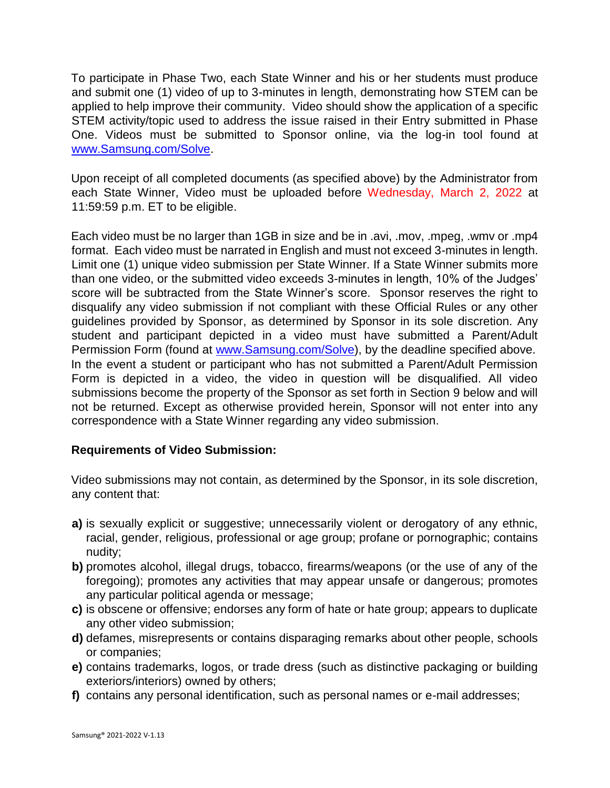To participate in Phase Two, each State Winner and his or her students must produce and submit one (1) video of up to 3-minutes in length, demonstrating how STEM can be applied to help improve their community. Video should show the application of a specific STEM activity/topic used to address the issue raised in their Entry submitted in Phase One. Videos must be submitted to Sponsor online, via the log-in tool found at [www.Samsung.com/Solve.](http://www.samsung.com/SolveforTomorrow) 

Upon receipt of all completed documents (as specified above) by the Administrator from each State Winner, Video must be uploaded before Wednesday, March 2, 2022 at 11:59:59 p.m. ET to be eligible.

Each video must be no larger than 1GB in size and be in .avi, .mov, .mpeg, .wmv or .mp4 format. Each video must be narrated in English and must not exceed 3-minutes in length. Limit one (1) unique video submission per State Winner. If a State Winner submits more than one video, or the submitted video exceeds 3-minutes in length, 10% of the Judges' score will be subtracted from the State Winner's score. Sponsor reserves the right to disqualify any video submission if not compliant with these Official Rules or any other guidelines provided by Sponsor, as determined by Sponsor in its sole discretion. Any student and participant depicted in a video must have submitted a Parent/Adult Permission Form (found at [www.Samsung.com/Solve\),](http://www.samsung.com/SolveforTomorrow) by the deadline specified above. In the event a student or participant who has not submitted a Parent/Adult Permission Form is depicted in a video, the video in question will be disqualified. All video submissions become the property of the Sponsor as set forth in Section 9 below and will not be returned. Except as otherwise provided herein, Sponsor will not enter into any correspondence with a State Winner regarding any video submission.

#### **Requirements of Video Submission:**

Video submissions may not contain, as determined by the Sponsor, in its sole discretion, any content that:

- **a)** is sexually explicit or suggestive; unnecessarily violent or derogatory of any ethnic, racial, gender, religious, professional or age group; profane or pornographic; contains nudity;
- **b)** promotes alcohol, illegal drugs, tobacco, firearms/weapons (or the use of any of the foregoing); promotes any activities that may appear unsafe or dangerous; promotes any particular political agenda or message;
- **c)** is obscene or offensive; endorses any form of hate or hate group; appears to duplicate any other video submission;
- **d)** defames, misrepresents or contains disparaging remarks about other people, schools or companies;
- **e)** contains trademarks, logos, or trade dress (such as distinctive packaging or building exteriors/interiors) owned by others;
- **f)** contains any personal identification, such as personal names or e-mail addresses;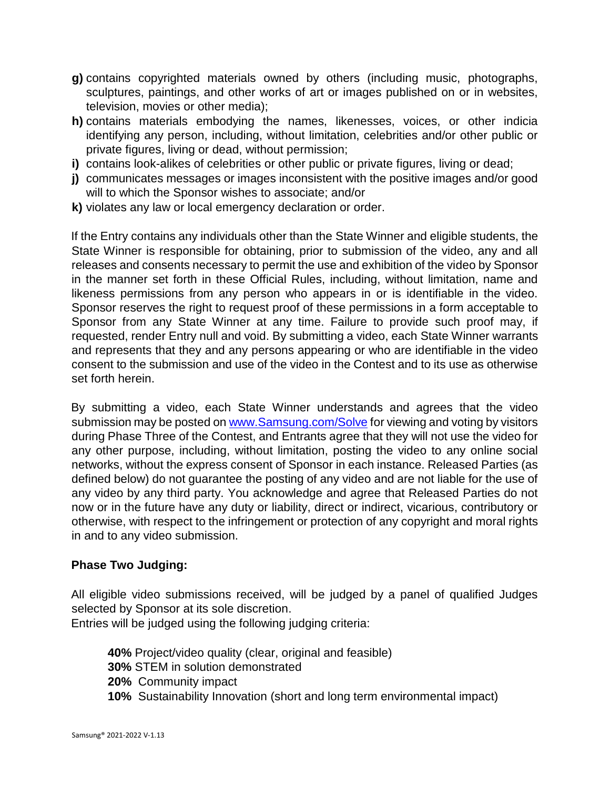- **g)** contains copyrighted materials owned by others (including music, photographs, sculptures, paintings, and other works of art or images published on or in websites, television, movies or other media);
- **h)** contains materials embodying the names, likenesses, voices, or other indicia identifying any person, including, without limitation, celebrities and/or other public or private figures, living or dead, without permission;
- **i)** contains look-alikes of celebrities or other public or private figures, living or dead;
- **j)** communicates messages or images inconsistent with the positive images and/or good will to which the Sponsor wishes to associate; and/or
- **k)** violates any law or local emergency declaration or order.

If the Entry contains any individuals other than the State Winner and eligible students, the State Winner is responsible for obtaining, prior to submission of the video, any and all releases and consents necessary to permit the use and exhibition of the video by Sponsor in the manner set forth in these Official Rules, including, without limitation, name and likeness permissions from any person who appears in or is identifiable in the video. Sponsor reserves the right to request proof of these permissions in a form acceptable to Sponsor from any State Winner at any time. Failure to provide such proof may, if requested, render Entry null and void. By submitting a video, each State Winner warrants and represents that they and any persons appearing or who are identifiable in the video consent to the submission and use of the video in the Contest and to its use as otherwise set forth herein.

By submitting a video, each State Winner understands and agrees that the video submission may be posted on [www.Samsung.com/Solve](http://www.samsung.com/Solve) [f](http://www.samsung.com/Solve)or viewing and voting by visitors during Phase Three of the Contest, and Entrants agree that they will not use the video for any other purpose, including, without limitation, posting the video to any online social networks, without the express consent of Sponsor in each instance. Released Parties (as defined below) do not guarantee the posting of any video and are not liable for the use of any video by any third party. You acknowledge and agree that Released Parties do not now or in the future have any duty or liability, direct or indirect, vicarious, contributory or otherwise, with respect to the infringement or protection of any copyright and moral rights in and to any video submission.

#### **Phase Two Judging:**

All eligible video submissions received, will be judged by a panel of qualified Judges selected by Sponsor at its sole discretion.

Entries will be judged using the following judging criteria:

- **40%** Project/video quality (clear, original and feasible)
- **30%** STEM in solution demonstrated
- **20%** Community impact
- **10%** Sustainability Innovation (short and long term environmental impact)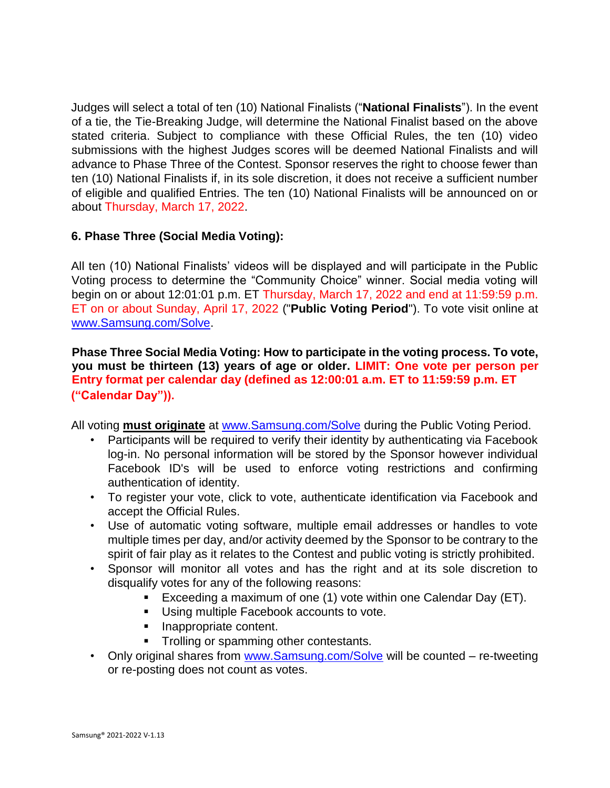Judges will select a total of ten (10) National Finalists ("**National Finalists**"). In the event of a tie, the Tie-Breaking Judge, will determine the National Finalist based on the above stated criteria. Subject to compliance with these Official Rules, the ten (10) video submissions with the highest Judges scores will be deemed National Finalists and will advance to Phase Three of the Contest. Sponsor reserves the right to choose fewer than ten (10) National Finalists if, in its sole discretion, it does not receive a sufficient number of eligible and qualified Entries. The ten (10) National Finalists will be announced on or about Thursday, March 17, 2022.

### **6. Phase Three (Social Media Voting):**

All ten (10) National Finalists' videos will be displayed and will participate in the Public Voting process to determine the "Community Choice" winner. Social media voting will begin on or about 12:01:01 p.m. ET Thursday, March 17, 2022 and end at 11:59:59 p.m. ET on or about Sunday, April 17, 2022 ("**Public Voting Period**"). To vote visit online at [www.Samsung.com/Solve.](http://www.samsung.com/SolveforTomorrow)

**Phase Three Social Media Voting: How to participate in the voting process. To vote, you must be thirteen (13) years of age or older. LIMIT: One vote per person per Entry format per calendar day (defined as 12:00:01 a.m. ET to 11:59:59 p.m. ET ("Calendar Day")).** 

All voting **must originate** a[t](http://www.samsung.com/SolveforTomorrow) [www.Samsung.com/Solve](http://www.samsung.com/SolveforTomorrow) [d](http://www.samsung.com/SolveforTomorrow)uring the Public Voting Period.

- Participants will be required to verify their identity by authenticating via Facebook log-in. No personal information will be stored by the Sponsor however individual Facebook ID's will be used to enforce voting restrictions and confirming authentication of identity.
- To register your vote, click to vote, authenticate identification via Facebook and accept the Official Rules.
- Use of automatic voting software, multiple email addresses or handles to vote multiple times per day, and/or activity deemed by the Sponsor to be contrary to the spirit of fair play as it relates to the Contest and public voting is strictly prohibited.
- Sponsor will monitor all votes and has the right and at its sole discretion to disqualify votes for any of the following reasons:
	- Exceeding a maximum of one (1) vote within one Calendar Day (ET).
	- **Using multiple Facebook accounts to vote.**
	- Inappropriate content.
	- **Trolling or spamming other contestants.**
- Only original shares from [www.Samsung.com/Solve](http://www.samsung.com/SolveforTomorrow) will be counted re-tweeting or re-posting does not count as votes.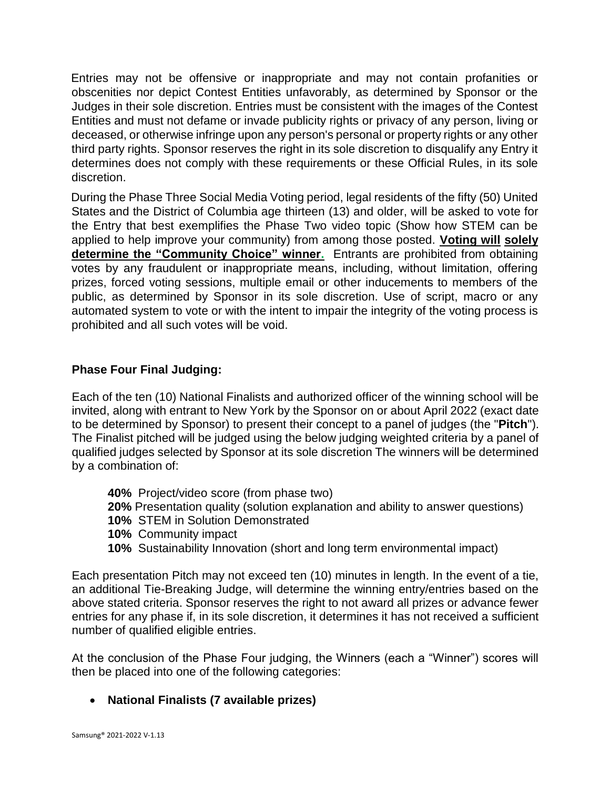Entries may not be offensive or inappropriate and may not contain profanities or obscenities nor depict Contest Entities unfavorably, as determined by Sponsor or the Judges in their sole discretion. Entries must be consistent with the images of the Contest Entities and must not defame or invade publicity rights or privacy of any person, living or deceased, or otherwise infringe upon any person's personal or property rights or any other third party rights. Sponsor reserves the right in its sole discretion to disqualify any Entry it determines does not comply with these requirements or these Official Rules, in its sole discretion.

During the Phase Three Social Media Voting period, legal residents of the fifty (50) United States and the District of Columbia age thirteen (13) and older, will be asked to vote for the Entry that best exemplifies the Phase Two video topic (Show how STEM can be applied to help improve your community) from among those posted. **Voting will solely determine the "Community Choice" winner.** Entrants are prohibited from obtaining votes by any fraudulent or inappropriate means, including, without limitation, offering prizes, forced voting sessions, multiple email or other inducements to members of the public, as determined by Sponsor in its sole discretion. Use of script, macro or any automated system to vote or with the intent to impair the integrity of the voting process is prohibited and all such votes will be void.

### **Phase Four Final Judging:**

Each of the ten (10) National Finalists and authorized officer of the winning school will be invited, along with entrant to New York by the Sponsor on or about April 2022 (exact date to be determined by Sponsor) to present their concept to a panel of judges (the "**Pitch**"). The Finalist pitched will be judged using the below judging weighted criteria by a panel of qualified judges selected by Sponsor at its sole discretion The winners will be determined by a combination of:

- **40%** Project/video score (from phase two)
- **20%** Presentation quality (solution explanation and ability to answer questions)
- **10%** STEM in Solution Demonstrated
- **10%** Community impact
- **10%** Sustainability Innovation (short and long term environmental impact)

Each presentation Pitch may not exceed ten (10) minutes in length. In the event of a tie, an additional Tie-Breaking Judge, will determine the winning entry/entries based on the above stated criteria. Sponsor reserves the right to not award all prizes or advance fewer entries for any phase if, in its sole discretion, it determines it has not received a sufficient number of qualified eligible entries.

At the conclusion of the Phase Four judging, the Winners (each a "Winner") scores will then be placed into one of the following categories:

**National Finalists (7 available prizes)**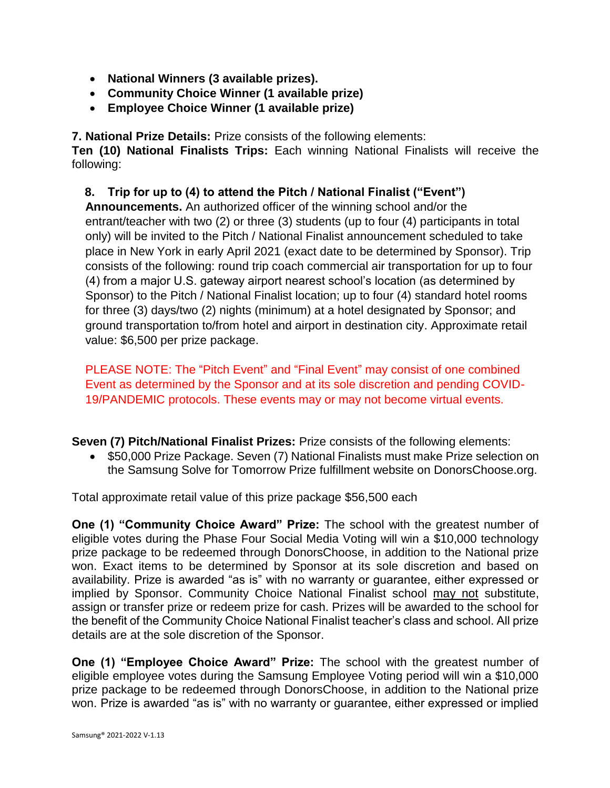- **National Winners (3 available prizes).**
- **Community Choice Winner (1 available prize)**
- **Employee Choice Winner (1 available prize)**

**7. National Prize Details:** Prize consists of the following elements:

**Ten (10) National Finalists Trips:** Each winning National Finalists will receive the following:

**8. Trip for up to (4) to attend the Pitch / National Finalist ("Event")** 

**Announcements.** An authorized officer of the winning school and/or the entrant/teacher with two (2) or three (3) students (up to four (4) participants in total only) will be invited to the Pitch / National Finalist announcement scheduled to take place in New York in early April 2021 (exact date to be determined by Sponsor). Trip consists of the following: round trip coach commercial air transportation for up to four (4) from a major U.S. gateway airport nearest school's location (as determined by Sponsor) to the Pitch / National Finalist location; up to four (4) standard hotel rooms for three (3) days/two (2) nights (minimum) at a hotel designated by Sponsor; and ground transportation to/from hotel and airport in destination city. Approximate retail value: \$6,500 per prize package.

PLEASE NOTE: The "Pitch Event" and "Final Event" may consist of one combined Event as determined by the Sponsor and at its sole discretion and pending COVID-19/PANDEMIC protocols. These events may or may not become virtual events.

**Seven (7) Pitch/National Finalist Prizes:** Prize consists of the following elements:

• \$50,000 Prize Package. Seven (7) National Finalists must make Prize selection on the Samsung Solve for Tomorrow Prize fulfillment website on DonorsChoose.org.

Total approximate retail value of this prize package \$56,500 each

**One (1) "Community Choice Award" Prize:** The school with the greatest number of eligible votes during the Phase Four Social Media Voting will win a \$10,000 technology prize package to be redeemed through DonorsChoose, in addition to the National prize won. Exact items to be determined by Sponsor at its sole discretion and based on availability. Prize is awarded "as is" with no warranty or guarantee, either expressed or implied by Sponsor. Community Choice National Finalist school may not substitute, assign or transfer prize or redeem prize for cash. Prizes will be awarded to the school for the benefit of the Community Choice National Finalist teacher's class and school. All prize details are at the sole discretion of the Sponsor.

**One (1) "Employee Choice Award" Prize:** The school with the greatest number of eligible employee votes during the Samsung Employee Voting period will win a \$10,000 prize package to be redeemed through DonorsChoose, in addition to the National prize won. Prize is awarded "as is" with no warranty or guarantee, either expressed or implied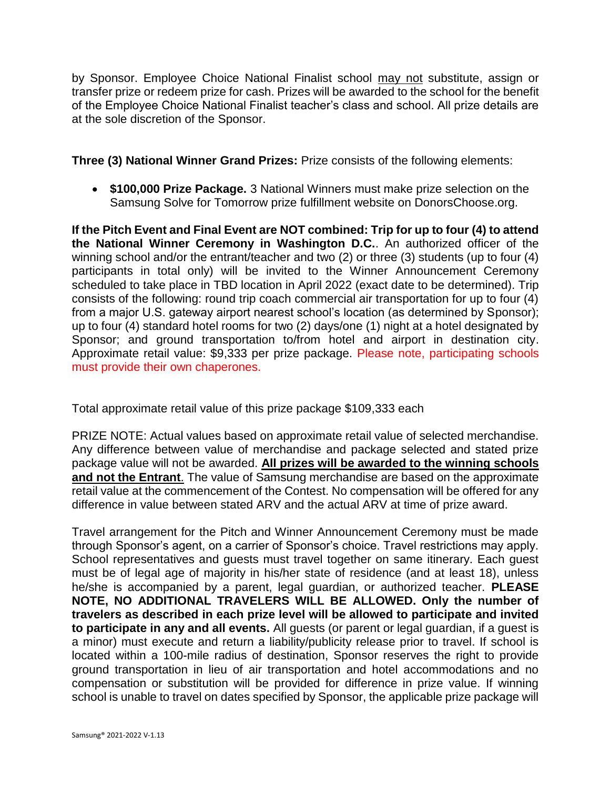by Sponsor. Employee Choice National Finalist school may not substitute, assign or transfer prize or redeem prize for cash. Prizes will be awarded to the school for the benefit of the Employee Choice National Finalist teacher's class and school. All prize details are at the sole discretion of the Sponsor.

**Three (3) National Winner Grand Prizes:** Prize consists of the following elements:

 **\$100,000 Prize Package.** 3 National Winners must make prize selection on the Samsung Solve for Tomorrow prize fulfillment website on DonorsChoose.org.

**If the Pitch Event and Final Event are NOT combined: Trip for up to four (4) to attend the National Winner Ceremony in Washington D.C.**. An authorized officer of the winning school and/or the entrant/teacher and two (2) or three (3) students (up to four (4) participants in total only) will be invited to the Winner Announcement Ceremony scheduled to take place in TBD location in April 2022 (exact date to be determined). Trip consists of the following: round trip coach commercial air transportation for up to four (4) from a major U.S. gateway airport nearest school's location (as determined by Sponsor); up to four (4) standard hotel rooms for two (2) days/one (1) night at a hotel designated by Sponsor; and ground transportation to/from hotel and airport in destination city. Approximate retail value: \$9,333 per prize package. Please note, participating schools must provide their own chaperones.

Total approximate retail value of this prize package \$109,333 each

PRIZE NOTE: Actual values based on approximate retail value of selected merchandise. Any difference between value of merchandise and package selected and stated prize package value will not be awarded. **All prizes will be awarded to the winning schools and not the Entrant**. The value of Samsung merchandise are based on the approximate retail value at the commencement of the Contest. No compensation will be offered for any difference in value between stated ARV and the actual ARV at time of prize award.

Travel arrangement for the Pitch and Winner Announcement Ceremony must be made through Sponsor's agent, on a carrier of Sponsor's choice. Travel restrictions may apply. School representatives and guests must travel together on same itinerary. Each guest must be of legal age of majority in his/her state of residence (and at least 18), unless he/she is accompanied by a parent, legal guardian, or authorized teacher. **PLEASE NOTE, NO ADDITIONAL TRAVELERS WILL BE ALLOWED. Only the number of travelers as described in each prize level will be allowed to participate and invited to participate in any and all events.** All guests (or parent or legal guardian, if a guest is a minor) must execute and return a liability/publicity release prior to travel. If school is located within a 100-mile radius of destination, Sponsor reserves the right to provide ground transportation in lieu of air transportation and hotel accommodations and no compensation or substitution will be provided for difference in prize value. If winning school is unable to travel on dates specified by Sponsor, the applicable prize package will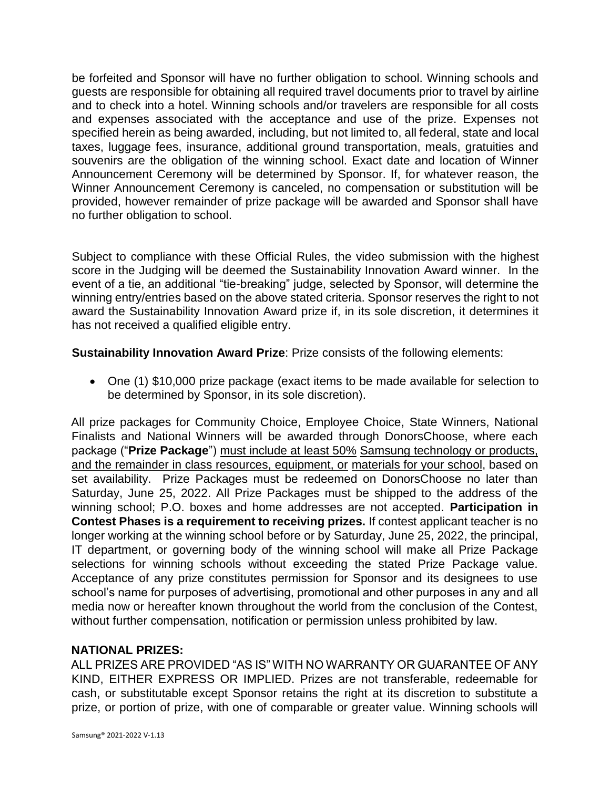be forfeited and Sponsor will have no further obligation to school. Winning schools and guests are responsible for obtaining all required travel documents prior to travel by airline and to check into a hotel. Winning schools and/or travelers are responsible for all costs and expenses associated with the acceptance and use of the prize. Expenses not specified herein as being awarded, including, but not limited to, all federal, state and local taxes, luggage fees, insurance, additional ground transportation, meals, gratuities and souvenirs are the obligation of the winning school. Exact date and location of Winner Announcement Ceremony will be determined by Sponsor. If, for whatever reason, the Winner Announcement Ceremony is canceled, no compensation or substitution will be provided, however remainder of prize package will be awarded and Sponsor shall have no further obligation to school.

Subject to compliance with these Official Rules, the video submission with the highest score in the Judging will be deemed the Sustainability Innovation Award winner. In the event of a tie, an additional "tie-breaking" judge, selected by Sponsor, will determine the winning entry/entries based on the above stated criteria. Sponsor reserves the right to not award the Sustainability Innovation Award prize if, in its sole discretion, it determines it has not received a qualified eligible entry.

**Sustainability Innovation Award Prize**: Prize consists of the following elements:

 One (1) \$10,000 prize package (exact items to be made available for selection to be determined by Sponsor, in its sole discretion).

All prize packages for Community Choice, Employee Choice, State Winners, National Finalists and National Winners will be awarded through DonorsChoose, where each package ("**Prize Package**") must include at least 50% Samsung technology or products, and the remainder in class resources, equipment, or materials for your school, based on set availability. Prize Packages must be redeemed on DonorsChoose no later than Saturday, June 25, 2022. All Prize Packages must be shipped to the address of the winning school; P.O. boxes and home addresses are not accepted. **Participation in Contest Phases is a requirement to receiving prizes.** If contest applicant teacher is no longer working at the winning school before or by Saturday, June 25, 2022, the principal, IT department, or governing body of the winning school will make all Prize Package selections for winning schools without exceeding the stated Prize Package value. Acceptance of any prize constitutes permission for Sponsor and its designees to use school's name for purposes of advertising, promotional and other purposes in any and all media now or hereafter known throughout the world from the conclusion of the Contest, without further compensation, notification or permission unless prohibited by law.

# **NATIONAL PRIZES:**

ALL PRIZES ARE PROVIDED "AS IS" WITH NO WARRANTY OR GUARANTEE OF ANY KIND, EITHER EXPRESS OR IMPLIED. Prizes are not transferable, redeemable for cash, or substitutable except Sponsor retains the right at its discretion to substitute a prize, or portion of prize, with one of comparable or greater value. Winning schools will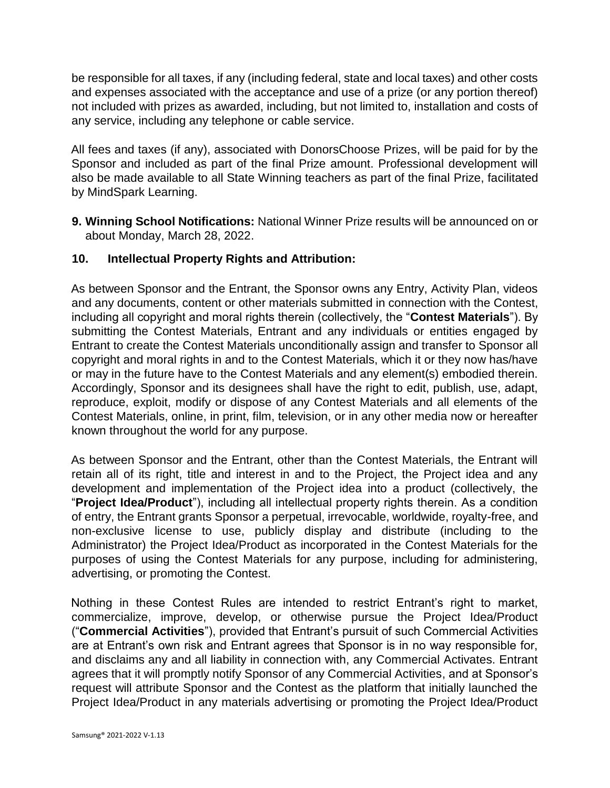be responsible for all taxes, if any (including federal, state and local taxes) and other costs and expenses associated with the acceptance and use of a prize (or any portion thereof) not included with prizes as awarded, including, but not limited to, installation and costs of any service, including any telephone or cable service.

All fees and taxes (if any), associated with DonorsChoose Prizes, will be paid for by the Sponsor and included as part of the final Prize amount. Professional development will also be made available to all State Winning teachers as part of the final Prize, facilitated by MindSpark Learning.

**9. Winning School Notifications:** National Winner Prize results will be announced on or about Monday, March 28, 2022.

#### **10. Intellectual Property Rights and Attribution:**

As between Sponsor and the Entrant, the Sponsor owns any Entry, Activity Plan, videos and any documents, content or other materials submitted in connection with the Contest, including all copyright and moral rights therein (collectively, the "**Contest Materials**"). By submitting the Contest Materials, Entrant and any individuals or entities engaged by Entrant to create the Contest Materials unconditionally assign and transfer to Sponsor all copyright and moral rights in and to the Contest Materials, which it or they now has/have or may in the future have to the Contest Materials and any element(s) embodied therein. Accordingly, Sponsor and its designees shall have the right to edit, publish, use, adapt, reproduce, exploit, modify or dispose of any Contest Materials and all elements of the Contest Materials, online, in print, film, television, or in any other media now or hereafter known throughout the world for any purpose.

As between Sponsor and the Entrant, other than the Contest Materials, the Entrant will retain all of its right, title and interest in and to the Project, the Project idea and any development and implementation of the Project idea into a product (collectively, the "**Project Idea/Product**"), including all intellectual property rights therein. As a condition of entry, the Entrant grants Sponsor a perpetual, irrevocable, worldwide, royalty-free, and non-exclusive license to use, publicly display and distribute (including to the Administrator) the Project Idea/Product as incorporated in the Contest Materials for the purposes of using the Contest Materials for any purpose, including for administering, advertising, or promoting the Contest.

Nothing in these Contest Rules are intended to restrict Entrant's right to market, commercialize, improve, develop, or otherwise pursue the Project Idea/Product ("**Commercial Activities**"), provided that Entrant's pursuit of such Commercial Activities are at Entrant's own risk and Entrant agrees that Sponsor is in no way responsible for, and disclaims any and all liability in connection with, any Commercial Activates. Entrant agrees that it will promptly notify Sponsor of any Commercial Activities, and at Sponsor's request will attribute Sponsor and the Contest as the platform that initially launched the Project Idea/Product in any materials advertising or promoting the Project Idea/Product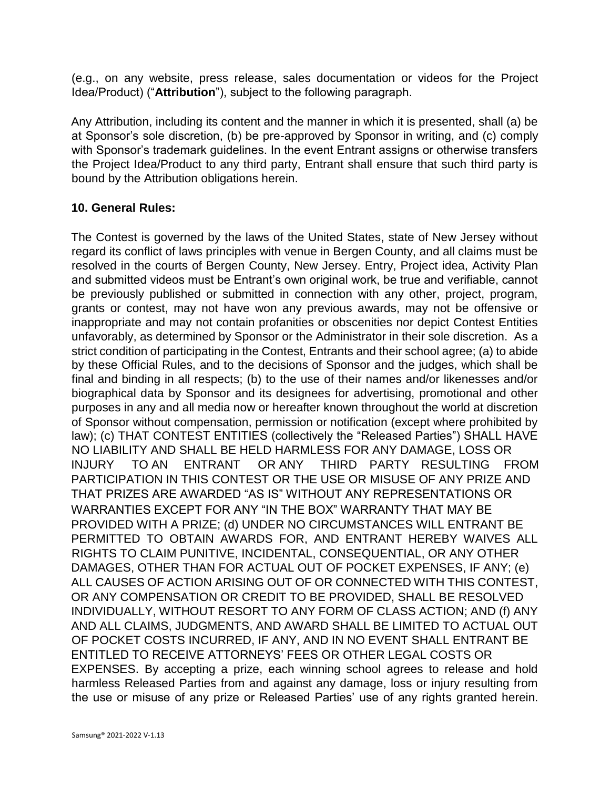(e.g., on any website, press release, sales documentation or videos for the Project Idea/Product) ("**Attribution**"), subject to the following paragraph.

Any Attribution, including its content and the manner in which it is presented, shall (a) be at Sponsor's sole discretion, (b) be pre-approved by Sponsor in writing, and (c) comply with Sponsor's trademark guidelines. In the event Entrant assigns or otherwise transfers the Project Idea/Product to any third party, Entrant shall ensure that such third party is bound by the Attribution obligations herein.

### **10. General Rules:**

The Contest is governed by the laws of the United States, state of New Jersey without regard its conflict of laws principles with venue in Bergen County, and all claims must be resolved in the courts of Bergen County, New Jersey. Entry, Project idea, Activity Plan and submitted videos must be Entrant's own original work, be true and verifiable, cannot be previously published or submitted in connection with any other, project, program, grants or contest, may not have won any previous awards, may not be offensive or inappropriate and may not contain profanities or obscenities nor depict Contest Entities unfavorably, as determined by Sponsor or the Administrator in their sole discretion. As a strict condition of participating in the Contest, Entrants and their school agree; (a) to abide by these Official Rules, and to the decisions of Sponsor and the judges, which shall be final and binding in all respects; (b) to the use of their names and/or likenesses and/or biographical data by Sponsor and its designees for advertising, promotional and other purposes in any and all media now or hereafter known throughout the world at discretion of Sponsor without compensation, permission or notification (except where prohibited by law); (c) THAT CONTEST ENTITIES (collectively the "Released Parties") SHALL HAVE NO LIABILITY AND SHALL BE HELD HARMLESS FOR ANY DAMAGE, LOSS OR INJURY TO AN ENTRANT OR ANY THIRD PARTY RESULTING FROM PARTICIPATION IN THIS CONTEST OR THE USE OR MISUSE OF ANY PRIZE AND THAT PRIZES ARE AWARDED "AS IS" WITHOUT ANY REPRESENTATIONS OR WARRANTIES EXCEPT FOR ANY "IN THE BOX" WARRANTY THAT MAY BE PROVIDED WITH A PRIZE; (d) UNDER NO CIRCUMSTANCES WILL ENTRANT BE PERMITTED TO OBTAIN AWARDS FOR, AND ENTRANT HEREBY WAIVES ALL RIGHTS TO CLAIM PUNITIVE, INCIDENTAL, CONSEQUENTIAL, OR ANY OTHER DAMAGES, OTHER THAN FOR ACTUAL OUT OF POCKET EXPENSES, IF ANY; (e) ALL CAUSES OF ACTION ARISING OUT OF OR CONNECTED WITH THIS CONTEST, OR ANY COMPENSATION OR CREDIT TO BE PROVIDED, SHALL BE RESOLVED INDIVIDUALLY, WITHOUT RESORT TO ANY FORM OF CLASS ACTION; AND (f) ANY AND ALL CLAIMS, JUDGMENTS, AND AWARD SHALL BE LIMITED TO ACTUAL OUT OF POCKET COSTS INCURRED, IF ANY, AND IN NO EVENT SHALL ENTRANT BE ENTITLED TO RECEIVE ATTORNEYS' FEES OR OTHER LEGAL COSTS OR EXPENSES. By accepting a prize, each winning school agrees to release and hold harmless Released Parties from and against any damage, loss or injury resulting from the use or misuse of any prize or Released Parties' use of any rights granted herein.